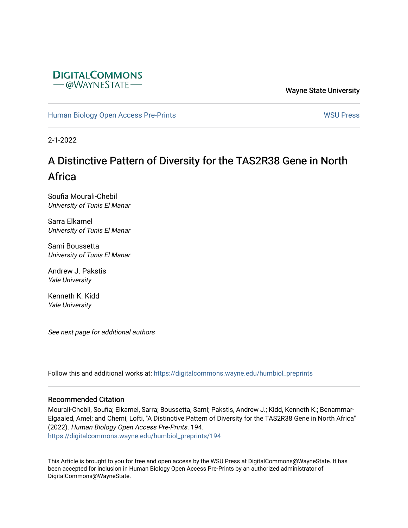

Wayne State University

[Human Biology Open Access Pre-Prints](https://digitalcommons.wayne.edu/humbiol_preprints) November 2012 1999 WSU Press

2-1-2022

# A Distinctive Pattern of Diversity for the TAS2R38 Gene in North Africa

Soufia Mourali-Chebil University of Tunis El Manar

Sarra Elkamel University of Tunis El Manar

Sami Boussetta University of Tunis El Manar

Andrew J. Pakstis Yale University

Kenneth K. Kidd Yale University

See next page for additional authors

Follow this and additional works at: [https://digitalcommons.wayne.edu/humbiol\\_preprints](https://digitalcommons.wayne.edu/humbiol_preprints?utm_source=digitalcommons.wayne.edu%2Fhumbiol_preprints%2F194&utm_medium=PDF&utm_campaign=PDFCoverPages) 

#### Recommended Citation

Mourali-Chebil, Soufia; Elkamel, Sarra; Boussetta, Sami; Pakstis, Andrew J.; Kidd, Kenneth K.; Benammar-Elgaaied, Amel; and Cherni, Lofti, "A Distinctive Pattern of Diversity for the TAS2R38 Gene in North Africa" (2022). Human Biology Open Access Pre-Prints. 194. [https://digitalcommons.wayne.edu/humbiol\\_preprints/194](https://digitalcommons.wayne.edu/humbiol_preprints/194?utm_source=digitalcommons.wayne.edu%2Fhumbiol_preprints%2F194&utm_medium=PDF&utm_campaign=PDFCoverPages) 

This Article is brought to you for free and open access by the WSU Press at DigitalCommons@WayneState. It has been accepted for inclusion in Human Biology Open Access Pre-Prints by an authorized administrator of DigitalCommons@WayneState.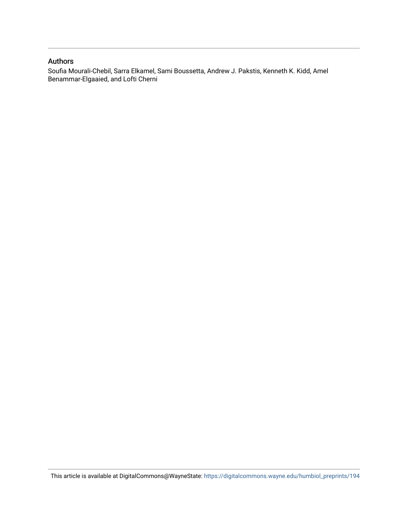### Authors

Soufia Mourali-Chebil, Sarra Elkamel, Sami Boussetta, Andrew J. Pakstis, Kenneth K. Kidd, Amel Benammar-Elgaaied, and Lofti Cherni

This article is available at DigitalCommons@WayneState: [https://digitalcommons.wayne.edu/humbiol\\_preprints/194](https://digitalcommons.wayne.edu/humbiol_preprints/194)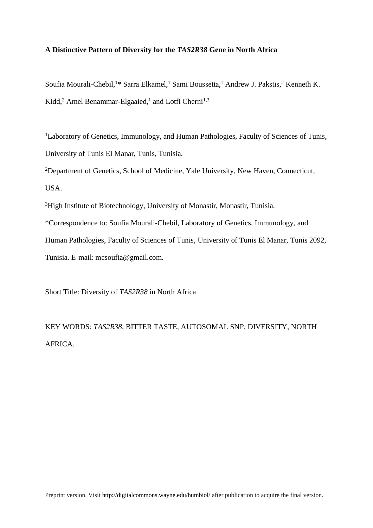### **A Distinctive Pattern of Diversity for the** *TAS2R38* **Gene in North Africa**

Soufia Mourali-Chebil,<sup>1\*</sup> Sarra Elkamel,<sup>1</sup> Sami Boussetta,<sup>1</sup> Andrew J. Pakstis,<sup>2</sup> Kenneth K. Kidd,<sup>2</sup> Amel Benammar-Elgaaied,<sup>1</sup> and Lotfi Cherni<sup>1,3</sup>

<sup>1</sup>Laboratory of Genetics, Immunology, and Human Pathologies, Faculty of Sciences of Tunis, University of Tunis El Manar, Tunis, Tunisia.

<sup>2</sup>Department of Genetics, School of Medicine, Yale University, New Haven, Connecticut, USA.

<sup>3</sup>High Institute of Biotechnology, University of Monastir, Monastir, Tunisia.

\*Correspondence to: Soufia Mourali-Chebil, Laboratory of Genetics, Immunology, and

Human Pathologies, Faculty of Sciences of Tunis, University of Tunis El Manar, Tunis 2092,

Tunisia. E-mail: mcsoufia@gmail.com.

Short Title: Diversity of *TAS2R38* in North Africa

KEY WORDS: *TAS2R38*, BITTER TASTE, AUTOSOMAL SNP, DIVERSITY, NORTH AFRICA.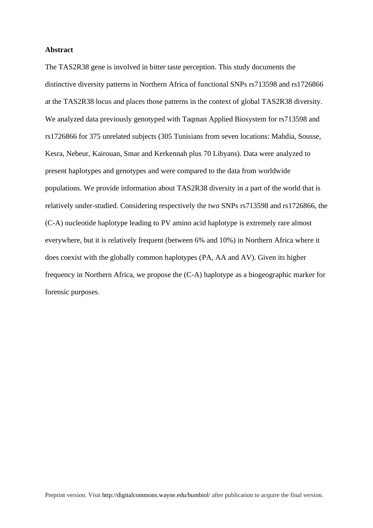#### **Abstract**

The TAS2R38 gene is involved in bitter taste perception. This study documents the distinctive diversity patterns in Northern Africa of functional SNPs rs713598 and rs1726866 at the TAS2R38 locus and places those patterns in the context of global TAS2R38 diversity. We analyzed data previously genotyped with Taqman Applied Biosystem for rs713598 and rs1726866 for 375 unrelated subjects (305 Tunisians from seven locations: Mahdia, Sousse, Kesra, Nebeur, Kairouan, Smar and Kerkennah plus 70 Libyans). Data were analyzed to present haplotypes and genotypes and were compared to the data from worldwide populations. We provide information about TAS2R38 diversity in a part of the world that is relatively under-studied. Considering respectively the two SNPs rs713598 and rs1726866, the (C-A) nucleotide haplotype leading to PV amino acid haplotype is extremely rare almost everywhere, but it is relatively frequent (between 6% and 10%) in Northern Africa where it does coexist with the globally common haplotypes (PA, AA and AV). Given its higher frequency in Northern Africa, we propose the (C-A) haplotype as a biogeographic marker for forensic purposes.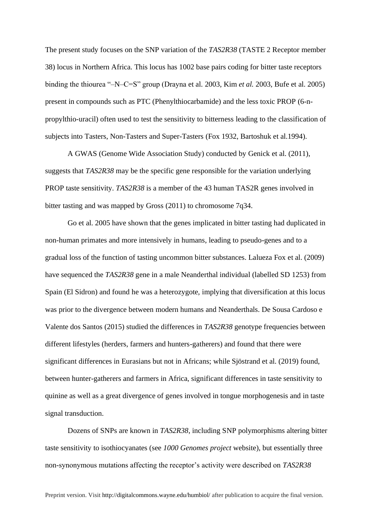The present study focuses on the SNP variation of the *TAS2R38* (TASTE 2 Receptor member 38) locus in Northern Africa. This locus has 1002 base pairs coding for bitter taste receptors binding the thiourea "–N–C=S" group (Drayna et al. 2003, Kim *et al.* 2003, Bufe et al. 2005) present in compounds such as PTC (Phenylthiocarbamide) and the less toxic PROP (6-npropylthio-uracil) often used to test the sensitivity to bitterness leading to the classification of subjects into Tasters, Non-Tasters and Super-Tasters (Fox 1932, Bartoshuk et al.1994).

A GWAS (Genome Wide Association Study) conducted by Genick et al. (2011), suggests that *TAS2R38* may be the specific gene responsible for the variation underlying PROP taste sensitivity. *TAS2R38* is a member of the 43 human TAS2R genes involved in bitter tasting and was mapped by Gross (2011) to chromosome 7q34.

Go et al. 2005 have shown that the genes implicated in bitter tasting had duplicated in non-human primates and more intensively in humans, leading to pseudo-genes and to a gradual loss of the function of tasting uncommon bitter substances. Lalueza Fox et al. (2009) have sequenced the *TAS2R38* gene in a male Neanderthal individual (labelled SD 1253) from Spain (El Sidron) and found he was a heterozygote, implying that diversification at this locus was prior to the divergence between modern humans and Neanderthals. De Sousa Cardoso e Valente dos Santos (2015) studied the differences in *TAS2R38* genotype frequencies between different lifestyles (herders, farmers and hunters-gatherers) and found that there were significant differences in Eurasians but not in Africans; while Sjöstrand et al. (2019) found, between hunter-gatherers and farmers in Africa, significant differences in taste sensitivity to quinine as well as a great divergence of genes involved in tongue morphogenesis and in taste signal transduction.

Dozens of SNPs are known in *TAS2R38*, including SNP polymorphisms altering bitter taste sensitivity to isothiocyanates (see *1000 Genomes project* website), but essentially three non-synonymous mutations affecting the receptor's activity were described on *TAS2R38*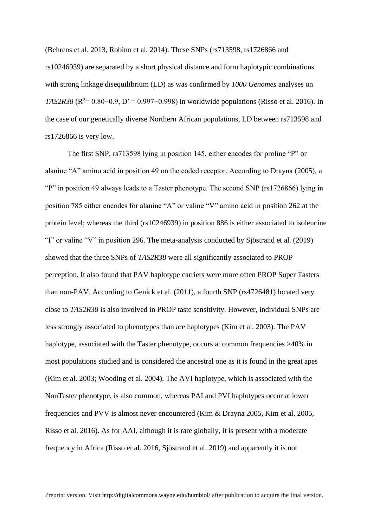(Behrens et al. 2013, Robino et al. 2014). These SNPs (rs713598, rs1726866 and rs10246939) are separated by a short physical distance and form haplotypic combinations with strong linkage disequilibrium (LD) as was confirmed by *1000 Genomes* analyses on *TAS2R38* ( $R^2 = 0.80 - 0.9$ ,  $D' = 0.997 - 0.998$ ) in worldwide populations (Risso et al. 2016). In the case of our genetically diverse Northern African populations, LD between rs713598 and rs1726866 is very low.

The first SNP, rs713598 lying in position 145, either encodes for proline "P" or alanine "A" amino acid in position 49 on the coded receptor. According to Drayna (2005), a "P" in position 49 always leads to a Taster phenotype. The second SNP (rs1726866) lying in position 785 either encodes for alanine "A" or valine "V" amino acid in position 262 at the protein level; whereas the third (rs10246939) in position 886 is either associated to isoleucine "I" or valine "V" in position 296. The meta-analysis conducted by Sjöstrand et al. (2019) showed that the three SNPs of *TAS2R38* were all significantly associated to PROP perception. It also found that PAV haplotype carriers were more often PROP Super Tasters than non-PAV. According to Genick et al. (2011), a fourth SNP (rs4726481) located very close to *TAS2R38* is also involved in PROP taste sensitivity. However, individual SNPs are less strongly associated to phenotypes than are haplotypes (Kim et al. 2003). The PAV haplotype, associated with the Taster phenotype, occurs at common frequencies >40% in most populations studied and is considered the ancestral one as it is found in the great apes (Kim et al. 2003; Wooding et al. 2004). The AVI haplotype, which is associated with the NonTaster phenotype, is also common, whereas PAI and PVI haplotypes occur at lower frequencies and PVV is almost never encountered (Kim & Drayna 2005, Kim et al. 2005, Risso et al. 2016). As for AAI, although it is rare globally, it is present with a moderate frequency in Africa (Risso et al. 2016, Sjöstrand et al. 2019) and apparently it is not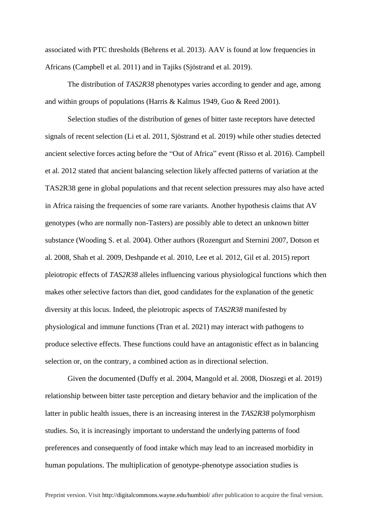associated with PTC thresholds (Behrens et al. 2013). AAV is found at low frequencies in Africans (Campbell et al. 2011) and in Tajiks (Sjöstrand et al. 2019).

The distribution of *TAS2R38* phenotypes varies according to gender and age, among and within groups of populations (Harris & Kalmus 1949, Guo & Reed 2001).

Selection studies of the distribution of genes of bitter taste receptors have detected signals of recent selection (Li et al. 2011, Sjöstrand et al. 2019) while other studies detected ancient selective forces acting before the "Out of Africa" event (Risso et al. 2016). Campbell et al. 2012 stated that ancient balancing selection likely affected patterns of variation at the TAS2R38 gene in global populations and that recent selection pressures may also have acted in Africa raising the frequencies of some rare variants. Another hypothesis claims that AV genotypes (who are normally non-Tasters) are possibly able to detect an unknown bitter substance (Wooding S. et al. 2004). Other authors (Rozengurt and Sternini 2007, Dotson et al. 2008, Shah et al. 2009, Deshpande et al. 2010, Lee et al. 2012, Gil et al. 2015) report pleiotropic effects of *TAS2R38* alleles influencing various physiological functions which then makes other selective factors than diet, good candidates for the explanation of the genetic diversity at this locus. Indeed, the pleiotropic aspects of *TAS2R38* manifested by physiological and immune functions (Tran et al. 2021) may interact with pathogens to produce selective effects. These functions could have an antagonistic effect as in balancing selection or, on the contrary, a combined action as in directional selection.

Given the documented (Duffy et al. 2004, Mangold et al. 2008, Dioszegi et al. 2019) relationship between bitter taste perception and dietary behavior and the implication of the latter in public health issues, there is an increasing interest in the *TAS2R38* polymorphism studies. So, it is increasingly important to understand the underlying patterns of food preferences and consequently of food intake which may lead to an increased morbidity in human populations. The multiplication of genotype-phenotype association studies is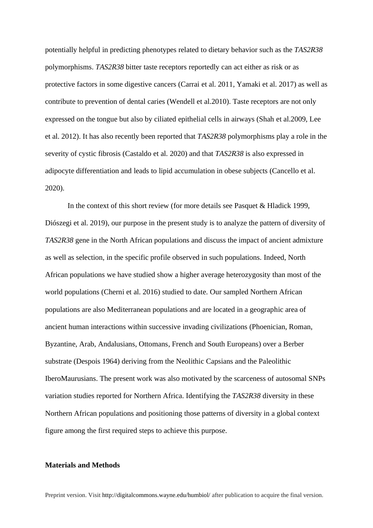potentially helpful in predicting phenotypes related to dietary behavior such as the *TAS2R38* polymorphisms. *TAS2R38* bitter taste receptors reportedly can act either as risk or as protective factors in some digestive cancers (Carrai et al. 2011*,* Yamaki et al. 2017) as well as contribute to prevention of dental caries (Wendell et al.2010). Taste receptors are not only expressed on the tongue but also by ciliated epithelial cells in airways (Shah et al.2009, Lee et al. 2012). It has also recently been reported that *TAS2R38* polymorphisms play a role in the severity of cystic fibrosis (Castaldo et al. 2020) and that *TAS2R38* is also expressed in adipocyte differentiation and leads to lipid accumulation in obese subjects (Cancello et al. 2020).

In the context of this short review (for more details see Pasquet & Hladick 1999, Diószegi et al. 2019), our purpose in the present study is to analyze the pattern of diversity of *TAS2R38* gene in the North African populations and discuss the impact of ancient admixture as well as selection, in the specific profile observed in such populations. Indeed, North African populations we have studied show a higher average heterozygosity than most of the world populations (Cherni et al. 2016) studied to date. Our sampled Northern African populations are also Mediterranean populations and are located in a geographic area of ancient human interactions within successive invading civilizations (Phoenician, Roman, Byzantine, Arab, Andalusians, Ottomans, French and South Europeans) over a Berber substrate (Despois 1964) deriving from the Neolithic Capsians and the Paleolithic IberoMaurusians. The present work was also motivated by the scarceness of autosomal SNPs variation studies reported for Northern Africa. Identifying the *TAS2R38* diversity in these Northern African populations and positioning those patterns of diversity in a global context figure among the first required steps to achieve this purpose.

### **Materials and Methods**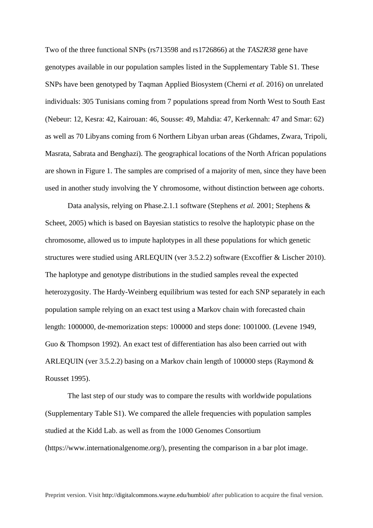Two of the three functional SNPs (rs713598 and rs1726866) at the *TAS2R38* gene have genotypes available in our population samples listed in the Supplementary Table S1. These SNPs have been genotyped by Taqman Applied Biosystem (Cherni *et al.* 2016) on unrelated individuals: 305 Tunisians coming from 7 populations spread from North West to South East (Nebeur: 12, Kesra: 42, Kairouan: 46, Sousse: 49, Mahdia: 47, Kerkennah: 47 and Smar: 62) as well as 70 Libyans coming from 6 Northern Libyan urban areas (Ghdames, Zwara, Tripoli, Masrata, Sabrata and Benghazi). The geographical locations of the North African populations are shown in Figure 1. The samples are comprised of a majority of men, since they have been used in another study involving the Y chromosome, without distinction between age cohorts.

Data analysis, relying on Phase.2.1.1 software (Stephens *et al.* 2001; Stephens & Scheet, 2005) which is based on Bayesian statistics to resolve the haplotypic phase on the chromosome, allowed us to impute haplotypes in all these populations for which genetic structures were studied using ARLEQUIN (ver 3.5.2.2) software (Excoffier & Lischer 2010). The haplotype and genotype distributions in the studied samples reveal the expected heterozygosity. The Hardy-Weinberg equilibrium was tested for each SNP separately in each population sample relying on an exact test using a Markov chain with forecasted chain length: 1000000, de-memorization steps: 100000 and steps done: 1001000. (Levene 1949, Guo & Thompson 1992). An exact test of differentiation has also been carried out with ARLEQUIN (ver 3.5.2.2) basing on a Markov chain length of 100000 steps (Raymond & Rousset 1995).

The last step of our study was to compare the results with worldwide populations (Supplementary Table S1). We compared the allele frequencies with population samples studied at the Kidd Lab. as well as from the 1000 Genomes Consortium (https://www.internationalgenome.org/), presenting the comparison in a bar plot image.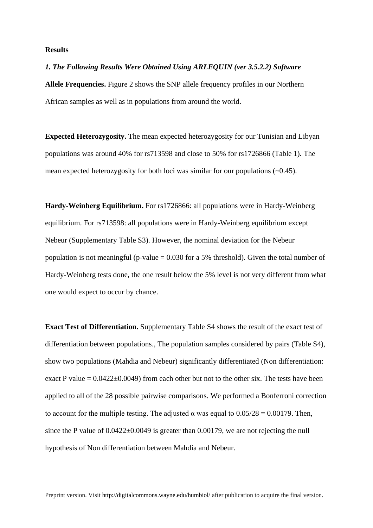#### **Results**

*1. The Following Results Were Obtained Using ARLEQUIN (ver 3.5.2.2) Software* **Allele Frequencies.** Figure 2 shows the SNP allele frequency profiles in our Northern African samples as well as in populations from around the world.

**Expected Heterozygosity.** The mean expected heterozygosity for our Tunisian and Libyan populations was around 40% for rs713598 and close to 50% for rs1726866 (Table 1). The mean expected heterozygosity for both loci was similar for our populations  $(-0.45)$ .

**Hardy-Weinberg Equilibrium.** For rs1726866: all populations were in Hardy-Weinberg equilibrium. For rs713598: all populations were in Hardy-Weinberg equilibrium except Nebeur (Supplementary Table S3). However, the nominal deviation for the Nebeur population is not meaningful (p-value  $= 0.030$  for a 5% threshold). Given the total number of Hardy-Weinberg tests done, the one result below the 5% level is not very different from what one would expect to occur by chance.

**Exact Test of Differentiation.** Supplementary Table S4 shows the result of the exact test of differentiation between populations., The population samples considered by pairs (Table S4), show two populations (Mahdia and Nebeur) significantly differentiated (Non differentiation: exact P value  $= 0.0422 \pm 0.0049$  from each other but not to the other six. The tests have been applied to all of the 28 possible pairwise comparisons. We performed a Bonferroni correction to account for the multiple testing. The adjusted  $\alpha$  was equal to  $0.05/28 = 0.00179$ . Then, since the P value of  $0.0422 \pm 0.0049$  is greater than 0.00179, we are not rejecting the null hypothesis of Non differentiation between Mahdia and Nebeur.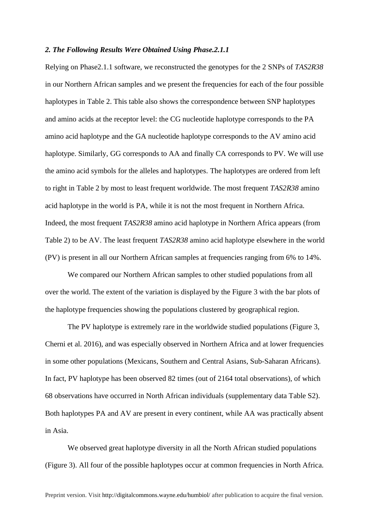#### *2. The Following Results Were Obtained Using Phase.2.1.1*

Relying on Phase2.1.1 software, we reconstructed the genotypes for the 2 SNPs of *TAS2R38* in our Northern African samples and we present the frequencies for each of the four possible haplotypes in Table 2. This table also shows the correspondence between SNP haplotypes and amino acids at the receptor level: the CG nucleotide haplotype corresponds to the PA amino acid haplotype and the GA nucleotide haplotype corresponds to the AV amino acid haplotype. Similarly, GG corresponds to AA and finally CA corresponds to PV. We will use the amino acid symbols for the alleles and haplotypes. The haplotypes are ordered from left to right in Table 2 by most to least frequent worldwide. The most frequent *TAS2R38* amino acid haplotype in the world is PA, while it is not the most frequent in Northern Africa. Indeed, the most frequent *TAS2R38* amino acid haplotype in Northern Africa appears (from Table 2) to be AV. The least frequent *TAS2R38* amino acid haplotype elsewhere in the world (PV) is present in all our Northern African samples at frequencies ranging from 6% to 14%.

We compared our Northern African samples to other studied populations from all over the world. The extent of the variation is displayed by the Figure 3 with the bar plots of the haplotype frequencies showing the populations clustered by geographical region.

The PV haplotype is extremely rare in the worldwide studied populations (Figure 3, Cherni et al. 2016), and was especially observed in Northern Africa and at lower frequencies in some other populations (Mexicans, Southern and Central Asians, Sub-Saharan Africans). In fact, PV haplotype has been observed 82 times (out of 2164 total observations), of which 68 observations have occurred in North African individuals (supplementary data Table S2). Both haplotypes PA and AV are present in every continent, while AA was practically absent in Asia.

We observed great haplotype diversity in all the North African studied populations (Figure 3). All four of the possible haplotypes occur at common frequencies in North Africa.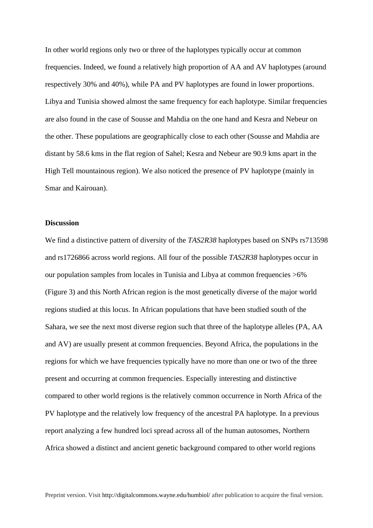In other world regions only two or three of the haplotypes typically occur at common frequencies. Indeed, we found a relatively high proportion of AA and AV haplotypes (around respectively 30% and 40%), while PA and PV haplotypes are found in lower proportions. Libya and Tunisia showed almost the same frequency for each haplotype. Similar frequencies are also found in the case of Sousse and Mahdia on the one hand and Kesra and Nebeur on the other. These populations are geographically close to each other (Sousse and Mahdia are distant by 58.6 kms in the flat region of Sahel; Kesra and Nebeur are 90.9 kms apart in the High Tell mountainous region). We also noticed the presence of PV haplotype (mainly in Smar and Kairouan).

## **Discussion**

We find a distinctive pattern of diversity of the *TAS2R38* haplotypes based on SNPs rs713598 and rs1726866 across world regions. All four of the possible *TAS2R38* haplotypes occur in our population samples from locales in Tunisia and Libya at common frequencies >6% (Figure 3) and this North African region is the most genetically diverse of the major world regions studied at this locus. In African populations that have been studied south of the Sahara, we see the next most diverse region such that three of the haplotype alleles (PA, AA and AV) are usually present at common frequencies. Beyond Africa, the populations in the regions for which we have frequencies typically have no more than one or two of the three present and occurring at common frequencies. Especially interesting and distinctive compared to other world regions is the relatively common occurrence in North Africa of the PV haplotype and the relatively low frequency of the ancestral PA haplotype. In a previous report analyzing a few hundred loci spread across all of the human autosomes, Northern Africa showed a distinct and ancient genetic background compared to other world regions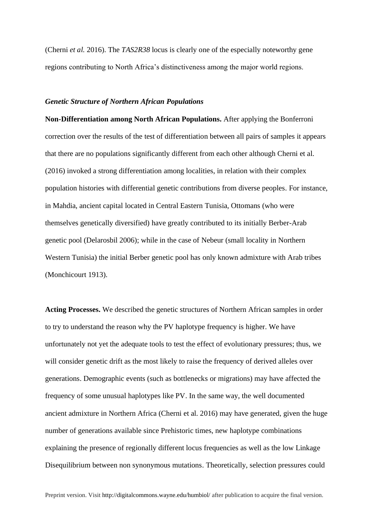(Cherni *et al.* 2016). The *TAS2R38* locus is clearly one of the especially noteworthy gene regions contributing to North Africa's distinctiveness among the major world regions.

#### *Genetic Structure of Northern African Populations*

**Non-Differentiation among North African Populations.** After applying the Bonferroni correction over the results of the test of differentiation between all pairs of samples it appears that there are no populations significantly different from each other although Cherni et al. (2016) invoked a strong differentiation among localities, in relation with their complex population histories with differential genetic contributions from diverse peoples. For instance, in Mahdia, ancient capital located in Central Eastern Tunisia, Ottomans (who were themselves genetically diversified) have greatly contributed to its initially Berber-Arab genetic pool (Delarosbil 2006); while in the case of Nebeur (small locality in Northern Western Tunisia) the initial Berber genetic pool has only known admixture with Arab tribes (Monchicourt 1913).

**Acting Processes.** We described the genetic structures of Northern African samples in order to try to understand the reason why the PV haplotype frequency is higher. We have unfortunately not yet the adequate tools to test the effect of evolutionary pressures; thus, we will consider genetic drift as the most likely to raise the frequency of derived alleles over generations. Demographic events (such as bottlenecks or migrations) may have affected the frequency of some unusual haplotypes like PV. In the same way, the well documented ancient admixture in Northern Africa (Cherni et al. 2016) may have generated, given the huge number of generations available since Prehistoric times, new haplotype combinations explaining the presence of regionally different locus frequencies as well as the low Linkage Disequilibrium between non synonymous mutations. Theoretically, selection pressures could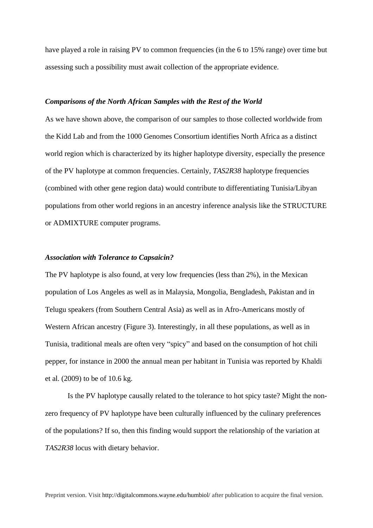have played a role in raising PV to common frequencies (in the 6 to 15% range) over time but assessing such a possibility must await collection of the appropriate evidence.

#### *Comparisons of the North African Samples with the Rest of the World*

As we have shown above, the comparison of our samples to those collected worldwide from the Kidd Lab and from the 1000 Genomes Consortium identifies North Africa as a distinct world region which is characterized by its higher haplotype diversity, especially the presence of the PV haplotype at common frequencies. Certainly, *TAS2R38* haplotype frequencies (combined with other gene region data) would contribute to differentiating Tunisia/Libyan populations from other world regions in an ancestry inference analysis like the STRUCTURE or ADMIXTURE computer programs.

## *Association with Tolerance to Capsaicin?*

The PV haplotype is also found, at very low frequencies (less than 2%), in the Mexican population of Los Angeles as well as in Malaysia, Mongolia, Bengladesh, Pakistan and in Telugu speakers (from Southern Central Asia) as well as in Afro-Americans mostly of Western African ancestry (Figure 3). Interestingly, in all these populations, as well as in Tunisia, traditional meals are often very "spicy" and based on the consumption of hot chili pepper, for instance in 2000 the annual mean per habitant in Tunisia was reported by Khaldi et al. (2009) to be of 10.6 kg.

Is the PV haplotype causally related to the tolerance to hot spicy taste? Might the nonzero frequency of PV haplotype have been culturally influenced by the culinary preferences of the populations? If so, then this finding would support the relationship of the variation at *TAS2R38* locus with dietary behavior.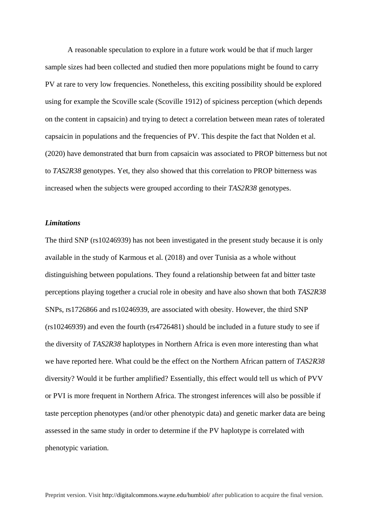A reasonable speculation to explore in a future work would be that if much larger sample sizes had been collected and studied then more populations might be found to carry PV at rare to very low frequencies. Nonetheless, this exciting possibility should be explored using for example the Scoville scale (Scoville 1912) of spiciness perception (which depends on the content in capsaicin) and trying to detect a correlation between mean rates of tolerated capsaicin in populations and the frequencies of PV. This despite the fact that Nolden et al. (2020) have demonstrated that burn from capsaicin was associated to PROP bitterness but not to *TAS2R38* genotypes. Yet, they also showed that this correlation to PROP bitterness was increased when the subjects were grouped according to their *TAS2R38* genotypes.

## *Limitations*

The third SNP (rs10246939) has not been investigated in the present study because it is only available in the study of Karmous et al. (2018) and over Tunisia as a whole without distinguishing between populations. They found a relationship between fat and bitter taste perceptions playing together a crucial role in obesity and have also shown that both *TAS2R38* SNPs, rs1726866 and rs10246939, are associated with obesity. However, the third SNP (rs10246939) and even the fourth (rs4726481) should be included in a future study to see if the diversity of *TAS2R38* haplotypes in Northern Africa is even more interesting than what we have reported here. What could be the effect on the Northern African pattern of *TAS2R38* diversity? Would it be further amplified? Essentially, this effect would tell us which of PVV or PVI is more frequent in Northern Africa. The strongest inferences will also be possible if taste perception phenotypes (and/or other phenotypic data) and genetic marker data are being assessed in the same study in order to determine if the PV haplotype is correlated with phenotypic variation.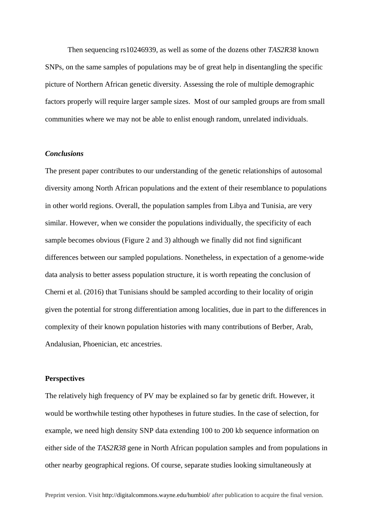Then sequencing rs10246939, as well as some of the dozens other *TAS2R38* known SNPs, on the same samples of populations may be of great help in disentangling the specific picture of Northern African genetic diversity. Assessing the role of multiple demographic factors properly will require larger sample sizes. Most of our sampled groups are from small communities where we may not be able to enlist enough random, unrelated individuals.

#### *Conclusions*

The present paper contributes to our understanding of the genetic relationships of autosomal diversity among North African populations and the extent of their resemblance to populations in other world regions. Overall, the population samples from Libya and Tunisia, are very similar. However, when we consider the populations individually, the specificity of each sample becomes obvious (Figure 2 and 3) although we finally did not find significant differences between our sampled populations. Nonetheless, in expectation of a genome-wide data analysis to better assess population structure, it is worth repeating the conclusion of Cherni et al. (2016) that Tunisians should be sampled according to their locality of origin given the potential for strong differentiation among localities, due in part to the differences in complexity of their known population histories with many contributions of Berber, Arab, Andalusian, Phoenician, etc ancestries.

#### **Perspectives**

The relatively high frequency of PV may be explained so far by genetic drift. However, it would be worthwhile testing other hypotheses in future studies. In the case of selection, for example, we need high density SNP data extending 100 to 200 kb sequence information on either side of the *TAS2R38* gene in North African population samples and from populations in other nearby geographical regions. Of course, separate studies looking simultaneously at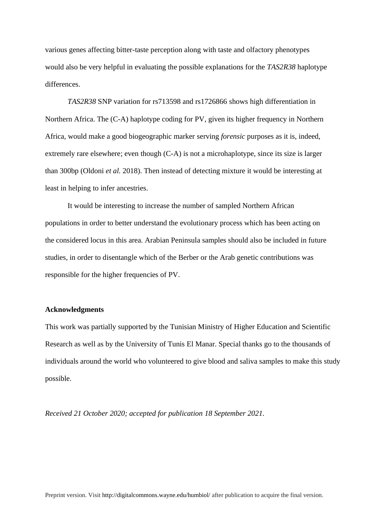various genes affecting bitter-taste perception along with taste and olfactory phenotypes would also be very helpful in evaluating the possible explanations for the *TAS2R38* haplotype differences.

*TAS2R38* SNP variation for rs713598 and rs1726866 shows high differentiation in Northern Africa. The (C-A) haplotype coding for PV, given its higher frequency in Northern Africa, would make a good biogeographic marker serving *forensic* purposes as it is, indeed, extremely rare elsewhere; even though (C-A) is not a microhaplotype, since its size is larger than 300bp (Oldoni *et al.* 2018). Then instead of detecting mixture it would be interesting at least in helping to infer ancestries.

It would be interesting to increase the number of sampled Northern African populations in order to better understand the evolutionary process which has been acting on the considered locus in this area. Arabian Peninsula samples should also be included in future studies, in order to disentangle which of the Berber or the Arab genetic contributions was responsible for the higher frequencies of PV.

#### **Acknowledgments**

This work was partially supported by the Tunisian Ministry of Higher Education and Scientific Research as well as by the University of Tunis El Manar. Special thanks go to the thousands of individuals around the world who volunteered to give blood and saliva samples to make this study possible.

*Received 21 October 2020; accepted for publication 18 September 2021.*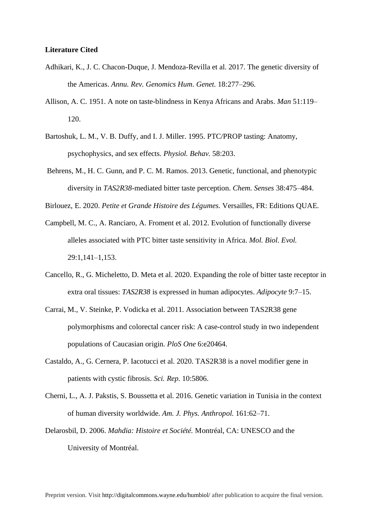#### **Literature Cited**

- Adhikari, K., J. C. Chacon-Duque, J. Mendoza-Revilla et al. 2017. The genetic diversity of the Americas. *Annu. Rev. Genomics Hum. Genet.* 18:277–296.
- Allison, A. C. 1951. A note on taste-blindness in Kenya Africans and Arabs. *Man* 51:119– 120.
- Bartoshuk, L. M., V. B. Duffy, and I. J. Miller. 1995. PTC/PROP tasting: Anatomy, psychophysics, and sex effects. *Physiol. Behav.* 58:203.
- Behrens, M., H. C. Gunn, and P. C. M. Ramos. 2013. Genetic, functional, and phenotypic diversity in *TAS2R38*-mediated bitter taste perception. *Chem. Senses* 38:475–484.

Birlouez, E. 2020. *Petite et Grande Histoire des Légumes.* Versailles, FR: Editions QUAE.

- Campbell, M. C., A. Ranciaro, A. Froment et al. 2012. Evolution of functionally diverse alleles associated with PTC bitter taste sensitivity in Africa. *Mol. Biol. Evol.*  29:1,141–1,153.
- Cancello, R., G. Micheletto, D. Meta et al. 2020. Expanding the role of bitter taste receptor in extra oral tissues: *TAS2R38* is expressed in human adipocytes. *Adipocyte* 9:7–15.
- Carrai, M., V. Steinke, P. Vodicka et al. 2011. Association between TAS2R38 gene polymorphisms and colorectal cancer risk: A case-control study in two independent populations of Caucasian origin. *PloS One* 6:e20464.
- Castaldo, A., G. Cernera, P. Iacotucci et al. 2020. TAS2R38 is a novel modifier gene in patients with cystic fibrosis. *Sci. Rep.* 10:5806.
- Cherni, L., A. J. Pakstis, S. Boussetta et al. 2016. Genetic variation in Tunisia in the context of human diversity worldwide. *Am. J. Phys. Anthropol.* 161:62–71.
- Delarosbil, D. 2006. *Mahdia: Histoire et Société.* Montréal, CA: UNESCO and the University of Montréal.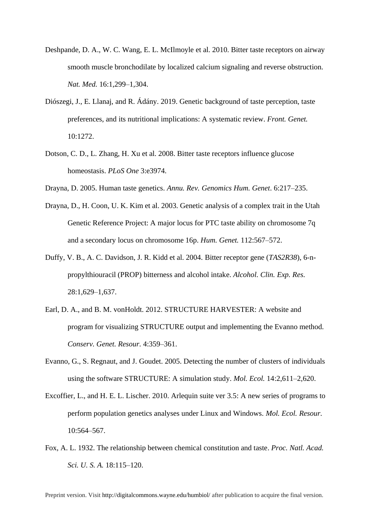- Deshpande, D. A., W. C. Wang, E. L. McIlmoyle et al. 2010. Bitter taste receptors on airway smooth muscle bronchodilate by localized calcium signaling and reverse obstruction. *Nat. Med.* 16:1,299–1,304.
- Diószegi, J., E. Llanaj, and R. Ádány. 2019. Genetic background of taste perception, taste preferences, and its nutritional implications: A systematic review. *Front. Genet.*  $10:1272$ .
- Dotson, C. D., L. Zhang, H. Xu et al. 2008. Bitter taste receptors influence glucose homeostasis. *PLoS One* 3:e3974.
- Drayna, D. 2005. Human taste genetics. *Annu. Rev. Genomics Hum. Genet*. 6:217–235.
- Drayna, D., H. Coon, U. K. Kim et al. 2003. Genetic analysis of a complex trait in the Utah Genetic Reference Project: A major locus for PTC taste ability on chromosome 7q and a secondary locus on chromosome 16p. *Hum. Genet.* 112:567–572.
- Duffy, V. B., A. C. Davidson, J. R. Kidd et al. 2004. Bitter receptor gene (*TAS2R38*), 6-npropylthiouracil (PROP) bitterness and alcohol intake. *Alcohol. Clin. Exp. Res.* 28:1,629–1,637.
- Earl, D. A., and B. M. vonHoldt. 2012. STRUCTURE HARVESTER: A website and program for visualizing STRUCTURE output and implementing the Evanno method. *Conserv. Genet. Resour.* 4:359–361.
- Evanno, G., S. Regnaut, and J. Goudet. 2005. Detecting the number of clusters of individuals using the software STRUCTURE: A simulation study. *Mol. Ecol.* 14:2,611–2,620.
- Excoffier, L., and H. E. L. Lischer. 2010. Arlequin suite ver 3.5: A new series of programs to perform population genetics analyses under Linux and Windows. *Mol. Ecol. Resour.* 10:564–567.
- Fox, A. L. 1932. The relationship between chemical constitution and taste. *Proc. Natl. Acad. Sci. U. S. A.* 18:115–120.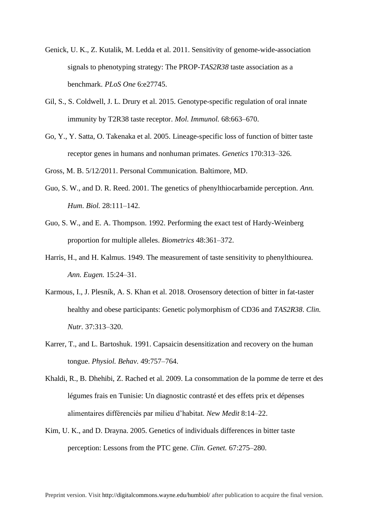- Genick, U. K., Z. Kutalik, M. Ledda et al. 2011. Sensitivity of genome-wide-association signals to phenotyping strategy: The PROP-*TAS2R38* taste association as a benchmark. *PLoS One* 6:e27745.
- Gil, S., S. Coldwell, J. L. Drury et al. 2015. Genotype-specific regulation of oral innate immunity by T2R38 taste receptor. *Mol. Immunol.* 68:663–670.
- Go, Y., Y. Satta, O. Takenaka et al. 2005. Lineage-specific loss of function of bitter taste receptor genes in humans and nonhuman primates. *Genetics* 170:313–326.

Gross, M. B. 5/12/2011. Personal Communication. Baltimore, MD.

- Guo, S. W., and D. R. Reed. 2001. The genetics of phenylthiocarbamide perception. *Ann. Hum. Biol.* 28:111–142.
- Guo, S. W., and E. A. Thompson. 1992. Performing the exact test of Hardy-Weinberg proportion for multiple alleles. *Biometrics* 48:361–372.
- Harris, H., and H. Kalmus. 1949. The measurement of taste sensitivity to phenylthiourea. *Ann. Eugen.* 15:24–31.
- Karmous, I., J. Plesník, A. S. Khan et al. 2018. Orosensory detection of bitter in fat-taster healthy and obese participants: Genetic polymorphism of CD36 and *TAS2R38*. *Clin. Nutr.* 37:313–320.
- Karrer, T., and L. Bartoshuk. 1991. Capsaicin desensitization and recovery on the human tongue. *Physiol. Behav.* 49:757–764.
- Khaldi, R., B. Dhehibi, Z. Rached et al. 2009. La consommation de la pomme de terre et des légumes frais en Tunisie: Un diagnostic contrasté et des effets prix et dépenses alimentaires différenciés par milieu d'habitat. *New Medit* 8:14–22.
- Kim, U. K., and D. Drayna. 2005. Genetics of individuals differences in bitter taste perception: Lessons from the PTC gene. *Clin. Genet.* 67:275–280.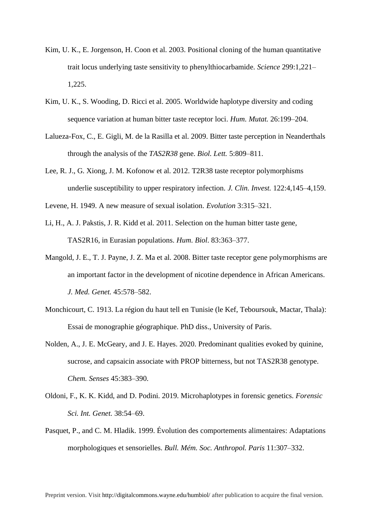- Kim, U. K., E. Jorgenson, H. Coon et al. 2003. Positional cloning of the human quantitative trait locus underlying taste sensitivity to phenylthiocarbamide. *Science* 299:1,221– 1,225.
- Kim, U. K., S. Wooding, D. Ricci et al. 2005. Worldwide haplotype diversity and coding sequence variation at human bitter taste receptor loci. *Hum. Mutat.* 26:199–204.
- Lalueza-Fox, C., E. Gigli, M. de la Rasilla et al. 2009. Bitter taste perception in Neanderthals through the analysis of the *TAS2R38* gene. *Biol. Lett.* 5:809–811.
- Lee, R. J., G. Xiong, J. M. Kofonow et al. 2012. T2R38 taste receptor polymorphisms underlie susceptibility to upper respiratory infection. *J. Clin. Invest.* 122:4,145–4,159.
- Levene, H. 1949. A new measure of sexual isolation. *Evolution* 3:315–321.
- Li, H., A. J. Pakstis, J. R. Kidd et al. 2011. Selection on the human bitter taste gene, TAS2R16, in Eurasian populations. *Hum. Biol*. 83:363–377.
- Mangold, J. E., T. J. Payne, J. Z. Ma et al. 2008. Bitter taste receptor gene polymorphisms are an important factor in the development of nicotine dependence in African Americans. *J. Med. Genet.* 45:578–582.
- Monchicourt, C. 1913. La région du haut tell en Tunisie (le Kef, Teboursouk, Mactar, Thala): Essai de monographie géographique. PhD diss., University of Paris.
- Nolden, A., J. E. McGeary, and J. E. Hayes. 2020. Predominant qualities evoked by quinine, sucrose, and capsaicin associate with PROP bitterness, but not TAS2R38 genotype. *Chem. Senses* 45:383–390.
- Oldoni, F., K. K. Kidd, and D. Podini. 2019. Microhaplotypes in forensic genetics. *Forensic Sci. Int. Genet.* 38:54–69.
- Pasquet, P., and C. M. Hladik. 1999. Évolution des comportements alimentaires: Adaptations morphologiques et sensorielles. *Bull. Mém. Soc. Anthropol. Paris* 11:307–332.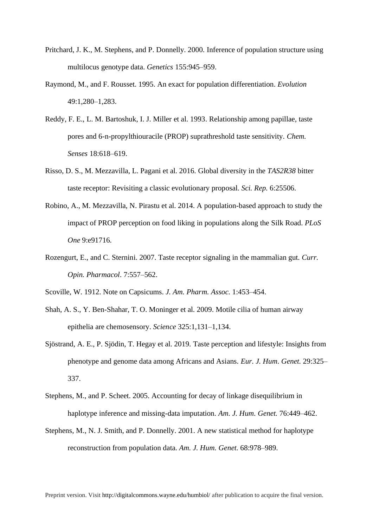- Pritchard, J. K., M. Stephens, and P. Donnelly. 2000. Inference of population structure using multilocus genotype data. *Genetics* 155:945–959.
- Raymond, M., and F. Rousset. 1995. An exact for population differentiation. *Evolution* 49:1,280–1,283.
- Reddy, F. E., L. M. Bartoshuk, I. J. Miller et al. 1993. Relationship among papillae, taste pores and 6-n-propylthiouracile (PROP) suprathreshold taste sensitivity. *Chem. Senses* 18:618–619.
- Risso, D. S., M. Mezzavilla, L. Pagani et al. 2016. Global diversity in the *TAS2R38* bitter taste receptor: Revisiting a classic evolutionary proposal. *Sci. Rep.* 6:25506.
- Robino, A., M. Mezzavilla, N. Pirastu et al. 2014. A population-based approach to study the impact of PROP perception on food liking in populations along the Silk Road. *PLoS One* 9:e91716.
- Rozengurt, E., and C. Sternini. 2007. Taste receptor signaling in the mammalian gut. *Curr. Opin. Pharmacol*. 7:557–562.
- Scoville, W. 1912. Note on Capsicums. *J. Am. Pharm. Assoc.* 1:453–454.
- Shah, A. S., Y. Ben-Shahar, T. O. Moninger et al. 2009. Motile cilia of human airway epithelia are chemosensory. *Science* 325:1,131–1,134.
- Sjöstrand, A. E., P. Sjödin, T. Hegay et al. 2019. Taste perception and lifestyle: Insights from phenotype and genome data among Africans and Asians. *Eur. J. Hum. Genet.* 29:325– 337.
- Stephens, M., and P. Scheet. 2005. Accounting for decay of linkage disequilibrium in haplotype inference and missing-data imputation. *Am. J. Hum. Genet.* 76:449–462.
- Stephens, M., N. J. Smith, and P. Donnelly. 2001. A new statistical method for haplotype reconstruction from population data. *Am. J. Hum. Genet.* 68:978–989.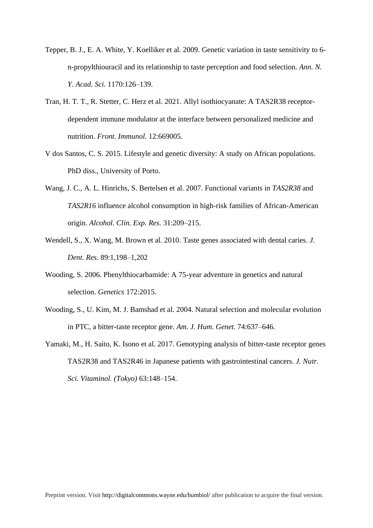- Tepper, B. J., E. A. White, Y. Koelliker et al. 2009. Genetic variation in taste sensitivity to 6 n-propylthiouracil and its relationship to taste perception and food selection. *Ann. N. Y. Acad. Sci.* 1170:126–139.
- Tran, H. T. T., R. Stetter, C. Herz et al. 2021. Allyl isothiocyanate: A TAS2R38 receptordependent immune modulator at the interface between personalized medicine and nutrition. *Front. Immunol.* 12:669005.
- V dos Santos, C. S. 2015. Lifestyle and genetic diversity: A study on African populations. PhD diss., University of Porto.
- Wang, J. C., A. L. Hinrichs, S. Bertelsen et al. 2007. Functional variants in *TAS2R38* and *TAS2R16* influence alcohol consumption in high-risk families of African-American origin. *Alcohol. Clin. Exp. Res.* 31:209–215.
- Wendell, S., X. Wang, M. Brown et al. 2010. Taste genes associated with dental caries. *J. Dent. Res.* 89:1,198–1,202
- Wooding, S. 2006. Phenylthiocarbamide: A 75-year adventure in genetics and natural selection. *Genetics* 172:2015.
- Wooding, S., U. Kim, M. J. Bamshad et al. 2004. Natural selection and molecular evolution in PTC, a bitter-taste receptor gene. *Am. J. Hum. Genet.* 74:637–646.
- Yamaki, M., H. Saito, K. Isono et al. 2017. Genotyping analysis of bitter-taste receptor genes TAS2R38 and TAS2R46 in Japanese patients with gastrointestinal cancers. *J. Nutr. Sci. Vitaminol. (Tokyo)* 63:148–154.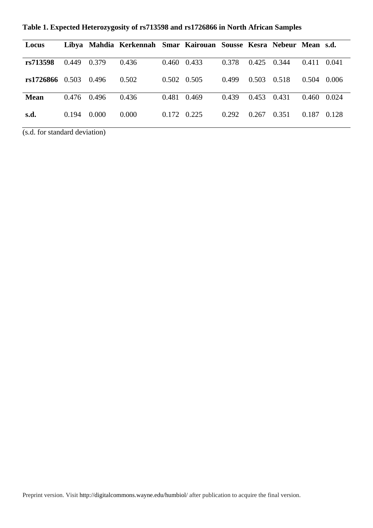| Locus             |               |        | Libya Mahdia Kerkennah Smar Kairouan Sousse Kesra Nebeur Mean s.d. |             |                     |       |       |       |                 |       |
|-------------------|---------------|--------|--------------------------------------------------------------------|-------------|---------------------|-------|-------|-------|-----------------|-------|
| rs713598          | 0.449 0.379   |        | 0.436                                                              | 0.460 0.433 |                     | 0.378 | 0.425 | 0.344 | 0.411 0.041     |       |
| $rs1726866$ 0.503 |               | 0.496  | 0.502                                                              |             | $0.502 \quad 0.505$ | 0.499 | 0.503 | 0.518 | $0.504$ 0.006   |       |
| <b>Mean</b>       | $0.476$ 0.496 |        | 0.436                                                              |             | 0.481 0.469         | 0.439 | 0.453 | 0.431 | $0.460$ $0.024$ |       |
| s.d.              | 0.194         | -0.000 | 0.000                                                              |             | 0.172 0.225         | 0.292 | 0.267 | 0.351 | 0.187           | 0.128 |

**Table 1. Expected Heterozygosity of rs713598 and rs1726866 in North African Samples**

(s.d. for standard deviation)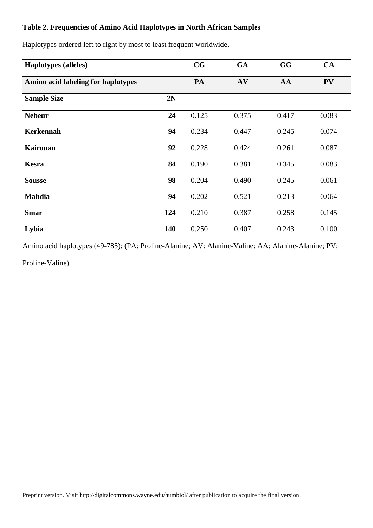# **Table 2. Frequencies of Amino Acid Haplotypes in North African Samples**

| <b>Haplotypes</b> (alleles)        |     | $\mathbf{CG}$ | <b>GA</b> | GG    | CA        |
|------------------------------------|-----|---------------|-----------|-------|-----------|
| Amino acid labeling for haplotypes |     | PA            | AV        | AA    | <b>PV</b> |
| <b>Sample Size</b>                 | 2N  |               |           |       |           |
| <b>Nebeur</b>                      | 24  | 0.125         | 0.375     | 0.417 | 0.083     |
| <b>Kerkennah</b>                   | 94  | 0.234         | 0.447     | 0.245 | 0.074     |
| <b>Kairouan</b>                    | 92  | 0.228         | 0.424     | 0.261 | 0.087     |
| <b>Kesra</b>                       | 84  | 0.190         | 0.381     | 0.345 | 0.083     |
| <b>Sousse</b>                      | 98  | 0.204         | 0.490     | 0.245 | 0.061     |
| <b>Mahdia</b>                      | 94  | 0.202         | 0.521     | 0.213 | 0.064     |
| <b>Smar</b>                        | 124 | 0.210         | 0.387     | 0.258 | 0.145     |
| Lybia                              | 140 | 0.250         | 0.407     | 0.243 | 0.100     |

Haplotypes ordered left to right by most to least frequent worldwide.

Amino acid haplotypes (49-785): (PA: Proline-Alanine; AV: Alanine-Valine; AA: Alanine-Alanine; PV:

Proline-Valine)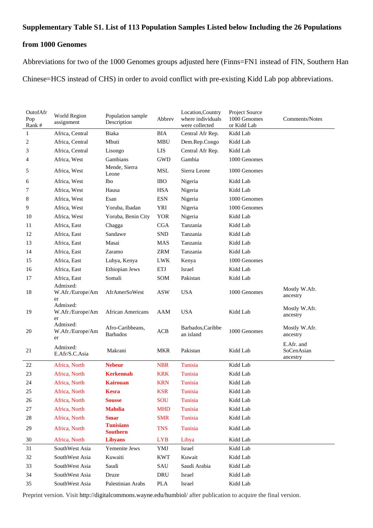# **Supplementary Table S1. List of 113 Population Samples Listed below Including the 26 Populations**

## **from 1000 Genomes**

Abbreviations for two of the 1000 Genomes groups adjusted here (Finns=FN1 instead of FIN, Southern Han Chinese=HCS instead of CHS) in order to avoid conflict with pre-existing Kidd Lab pop abbreviations.

| OutofAfr<br>Pop<br>Rank# | World Region<br>assignment         | Population sample<br>Description    | Abbrev     | Location, Country<br>where individuals<br>were collected | Project Source<br>1000 Genomes<br>or Kidd Lab | Comments/Notes                       |
|--------------------------|------------------------------------|-------------------------------------|------------|----------------------------------------------------------|-----------------------------------------------|--------------------------------------|
| 1                        | Africa, Central                    | Biaka                               | <b>BIA</b> | Central Afr Rep.                                         | Kidd Lab                                      |                                      |
| 2                        | Africa, Central                    | Mbuti                               | <b>MBU</b> | Dem.Rep.Congo                                            | Kidd Lab                                      |                                      |
| 3                        | Africa, Central                    | Lisongo                             | <b>LIS</b> | Central Afr Rep.                                         | Kidd Lab                                      |                                      |
| 4                        | Africa, West                       | Gambians                            | <b>GWD</b> | Gambia                                                   | 1000 Genomes                                  |                                      |
| 5                        | Africa, West                       | Mende, Sierra<br>Leone              | <b>MSL</b> | Sierra Leone                                             | 1000 Genomes                                  |                                      |
| 6                        | Africa, West                       | Ibo                                 | <b>IBO</b> | Nigeria                                                  | Kidd Lab                                      |                                      |
| 7                        | Africa, West                       | Hausa                               | <b>HSA</b> | Nigeria                                                  | Kidd Lab                                      |                                      |
| 8                        | Africa, West                       | Esan                                | <b>ESN</b> | Nigeria                                                  | 1000 Genomes                                  |                                      |
| 9                        | Africa, West                       | Yoruba, Ibadan                      | <b>YRI</b> | Nigeria                                                  | 1000 Genomes                                  |                                      |
| 10                       | Africa, West                       | Yoruba, Benin City                  | <b>YOR</b> | Nigeria                                                  | Kidd Lab                                      |                                      |
| 11                       | Africa, East                       | Chagga                              | <b>CGA</b> | Tanzania                                                 | Kidd Lab                                      |                                      |
| 12                       | Africa, East                       | Sandawe                             | <b>SND</b> | Tanzania                                                 | Kidd Lab                                      |                                      |
| 13                       | Africa, East                       | Masai                               | MAS        | Tanzania                                                 | Kidd Lab                                      |                                      |
| 14                       | Africa, East                       | Zaramo                              | <b>ZRM</b> | Tanzania                                                 | Kidd Lab                                      |                                      |
| 15                       | Africa, East                       | Luhya, Kenya                        | <b>LWK</b> | Kenya                                                    | 1000 Genomes                                  |                                      |
| 16                       | Africa, East                       | Ethiopian Jews                      | ETJ        | Israel                                                   | Kidd Lab                                      |                                      |
| 17                       | Africa, East                       | Somali                              | SOM        | Pakistan                                                 | Kidd Lab                                      |                                      |
| 18                       | Admixed:<br>W.Afr./Europe/Am<br>er | AfrAmerSoWest                       | <b>ASW</b> | <b>USA</b>                                               | 1000 Genomes                                  | Mostly W.Afr.<br>ancestry            |
| 19                       | Admixed:<br>W.Afr./Europe/Am<br>er | <b>African Americans</b>            | AAM        | <b>USA</b>                                               | Kidd Lab                                      | Mostly W.Afr.<br>ancestry            |
| 20                       | Admixed:<br>W.Afr./Europe/Am<br>er | Afro-Caribbeans,<br><b>Barbados</b> | ACB        | Barbados, Caribbe<br>an island                           | 1000 Genomes                                  | Mostly W.Afr.<br>ancestry            |
| 21                       | Admixed:<br>E.Afr/S.C.Asia         | Makrani                             | <b>MKR</b> | Pakistan                                                 | Kidd Lab                                      | E.Afr. and<br>SoCenAsian<br>ancestry |
| 22                       | Africa, North                      | <b>Nebeur</b>                       | <b>NBR</b> | Tunisia                                                  | Kidd Lab                                      |                                      |
| 23                       | Africa, North                      | <b>Kerkennah</b>                    | <b>KRK</b> | Tunisia                                                  | Kidd Lab                                      |                                      |
| 24                       | Africa, North                      | <b>Kairouan</b>                     | <b>KRN</b> | Tunisia                                                  | Kidd Lab                                      |                                      |
| $25\,$                   | Africa, North                      | <b>Kesra</b>                        | <b>KSR</b> | Tunisia                                                  | Kidd Lab                                      |                                      |
| 26                       | Africa, North                      | <b>Sousse</b>                       | SOU        | Tunisia                                                  | Kidd Lab                                      |                                      |
| 27                       | Africa, North                      | <b>Mahdia</b>                       | <b>MHD</b> | Tunisia                                                  | Kidd Lab                                      |                                      |
| 28                       | Africa, North                      | <b>Smar</b>                         | <b>SMR</b> | Tunisia                                                  | Kidd Lab                                      |                                      |
| 29                       | Africa, North                      | <b>Tunisians</b><br><b>Southern</b> | <b>TNS</b> | Tunisia                                                  | Kidd Lab                                      |                                      |
| 30                       | Africa, North                      | <b>Libyans</b>                      | <b>LYB</b> | Libya                                                    | Kidd Lab                                      |                                      |
| 31                       | SouthWest Asia                     | Yemenite Jews                       | YMJ        | Israel                                                   | Kidd Lab                                      |                                      |
| 32                       | SouthWest Asia                     | Kuwaiti                             | <b>KWT</b> | Kuwait                                                   | Kidd Lab                                      |                                      |
| 33                       | SouthWest Asia                     | Saudi                               | SAU        | Saudi Arabia                                             | Kidd Lab                                      |                                      |
| 34                       | SouthWest Asia                     | Druze                               | DRU        | Israel                                                   | Kidd Lab                                      |                                      |
| 35                       | SouthWest Asia                     | Palestinian Arabs                   | PLA        | Israel                                                   | Kidd Lab                                      |                                      |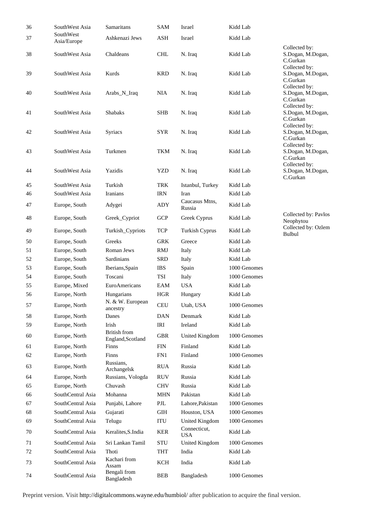| 36 | SouthWest Asia    | Samaritans                   | <b>SAM</b>                  | Israel                     | Kidd Lab     |                                    |
|----|-------------------|------------------------------|-----------------------------|----------------------------|--------------|------------------------------------|
| 37 | SouthWest         | Ashkenazi Jews               | ASH                         | Israel                     | Kidd Lab     |                                    |
|    | Asia/Europe       |                              |                             |                            |              | Collected by:                      |
| 38 | SouthWest Asia    | Chaldeans                    | <b>CHL</b>                  | N. Iraq                    | Kidd Lab     | S.Dogan, M.Dogan,                  |
|    |                   |                              |                             |                            |              | C.Gurkan                           |
| 39 | SouthWest Asia    | Kurds                        | <b>KRD</b>                  | N. Iraq                    | Kidd Lab     | Collected by:<br>S.Dogan, M.Dogan, |
|    |                   |                              |                             |                            |              | C.Gurkan                           |
|    |                   |                              |                             |                            |              | Collected by:                      |
| 40 | SouthWest Asia    | Arabs_N_Iraq                 | <b>NIA</b>                  | N. Iraq                    | Kidd Lab     | S.Dogan, M.Dogan,<br>C.Gurkan      |
|    |                   |                              |                             |                            |              | Collected by:                      |
| 41 | SouthWest Asia    | <b>Shabaks</b>               | <b>SHB</b>                  | N. Iraq                    | Kidd Lab     | S.Dogan, M.Dogan,                  |
|    |                   |                              |                             |                            |              | C.Gurkan<br>Collected by:          |
| 42 | SouthWest Asia    | Syriacs                      | <b>SYR</b>                  | N. Iraq                    | Kidd Lab     | S.Dogan, M.Dogan,                  |
|    |                   |                              |                             |                            |              | C.Gurkan                           |
| 43 | SouthWest Asia    | Turkmen                      | <b>TKM</b>                  | N. Iraq                    | Kidd Lab     | Collected by:<br>S.Dogan, M.Dogan, |
|    |                   |                              |                             |                            |              | C.Gurkan                           |
|    |                   |                              |                             |                            |              | Collected by:                      |
| 44 | SouthWest Asia    | Yazidis                      | <b>YZD</b>                  | N. Iraq                    | Kidd Lab     | S.Dogan, M.Dogan,<br>C.Gurkan      |
| 45 | SouthWest Asia    | Turkish                      | TRK                         | Istanbul, Turkey           | Kidd Lab     |                                    |
| 46 | SouthWest Asia    | <b>Iranians</b>              | <b>IRN</b>                  | Iran                       | Kidd Lab     |                                    |
| 47 | Europe, South     | Adygei                       | ADY                         | Caucasus Mtns,             | Kidd Lab     |                                    |
|    |                   |                              |                             | Russia                     |              |                                    |
| 48 | Europe, South     | Greek_Cypriot                | <b>GCP</b>                  | Greek Cyprus               | Kidd Lab     | Collected by: Pavlos<br>Neophytou  |
| 49 | Europe, South     | Turkish_Cypriots             | <b>TCP</b>                  | Turkish Cyprus             | Kidd Lab     | Collected by: Ozlem                |
|    |                   |                              |                             |                            |              | Bulbul                             |
| 50 | Europe, South     | Greeks                       | <b>GRK</b>                  | Greece                     | Kidd Lab     |                                    |
| 51 | Europe, South     | Roman Jews                   | <b>RMJ</b>                  | Italy                      | Kidd Lab     |                                    |
| 52 | Europe, South     | Sardinians                   | <b>SRD</b>                  | Italy                      | Kidd Lab     |                                    |
| 53 | Europe, South     | Iberians, Spain              | <b>IBS</b>                  | Spain                      | 1000 Genomes |                                    |
| 54 | Europe, South     | Toscani                      | TSI                         | Italy                      | 1000 Genomes |                                    |
| 55 | Europe, Mixed     | EuroAmericans                | EAM                         | <b>USA</b>                 | Kidd Lab     |                                    |
| 56 | Europe, North     | Hungarians                   | <b>HGR</b>                  | Hungary                    | Kidd Lab     |                                    |
| 57 | Europe, North     | N. & W. European<br>ancestry | <b>CEU</b>                  | Utah, USA                  | 1000 Genomes |                                    |
| 58 | Europe, North     | Danes                        | <b>DAN</b>                  | Denmark                    | Kidd Lab     |                                    |
| 59 | Europe, North     | Irish                        | IRI                         | Ireland                    | Kidd Lab     |                                    |
| 60 | Europe, North     | <b>British</b> from          | <b>GBR</b>                  | United Kingdom             | 1000 Genomes |                                    |
| 61 | Europe, North     | England, Scotland<br>Finns   | <b>FIN</b>                  | Finland                    | Kidd Lab     |                                    |
| 62 | Europe, North     | Finns                        | FN1                         | Finland                    | 1000 Genomes |                                    |
|    |                   | Russians,                    |                             |                            |              |                                    |
| 63 | Europe, North     | Archangelsk                  | <b>RUA</b>                  | Russia                     | Kidd Lab     |                                    |
| 64 | Europe, North     | Russians, Vologda            | <b>RUV</b>                  | Russia                     | Kidd Lab     |                                    |
| 65 | Europe, North     | Chuvash                      | <b>CHV</b>                  | Russia                     | Kidd Lab     |                                    |
| 66 | SouthCentral Asia | Mohanna                      | <b>MHN</b>                  | Pakistan                   | Kidd Lab     |                                    |
| 67 | SouthCentral Asia | Punjabi, Lahore              | $\ensuremath{\mathrm{PJL}}$ | Lahore, Pakistan           | 1000 Genomes |                                    |
| 68 | SouthCentral Asia | Gujarati                     | GIH                         | Houston, USA               | 1000 Genomes |                                    |
| 69 | SouthCentral Asia | Telugu                       | ITU                         | United Kingdom             | 1000 Genomes |                                    |
| 70 | SouthCentral Asia | Keralites, S.India           | <b>KER</b>                  | Connecticut,<br><b>USA</b> | Kidd Lab     |                                    |
| 71 | SouthCentral Asia | Sri Lankan Tamil             | $\operatorname{STU}$        | United Kingdom             | 1000 Genomes |                                    |
| 72 | SouthCentral Asia | Thoti                        | THT                         | India                      | Kidd Lab     |                                    |
| 73 | SouthCentral Asia | Kachari from                 | KCH                         | India                      | Kidd Lab     |                                    |
|    |                   | Assam                        |                             |                            |              |                                    |
| 74 | SouthCentral Asia | Bengali from<br>Bangladesh   | <b>BEB</b>                  | Bangladesh                 | 1000 Genomes |                                    |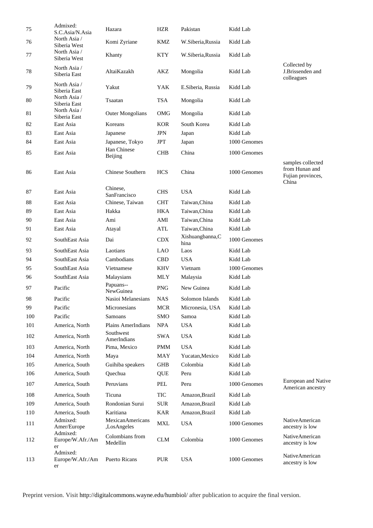| 75  | Admixed:<br>S.C.Asia/N.Asia        | Hazara                          | <b>HZR</b> | Pakistan                 | Kidd Lab     |                                                                   |
|-----|------------------------------------|---------------------------------|------------|--------------------------|--------------|-------------------------------------------------------------------|
| 76  | North Asia /<br>Siberia West       | Komi Zyriane                    | KMZ        | W.Siberia, Russia        | Kidd Lab     |                                                                   |
| 77  | North Asia /<br>Siberia West       | Khanty                          | <b>KTY</b> | W.Siberia, Russia        | Kidd Lab     |                                                                   |
| 78  | North Asia /<br>Siberia East       | AltaiKazakh                     | AKZ        | Mongolia                 | Kidd Lab     | Collected by<br>J.Brissenden and<br>colleagues                    |
| 79  | North Asia /<br>Siberia East       | Yakut                           | YAK        | E.Siberia, Russia        | Kidd Lab     |                                                                   |
| 80  | North Asia /<br>Siberia East       | Tsaatan                         | <b>TSA</b> | Mongolia                 | Kidd Lab     |                                                                   |
| 81  | North Asia /<br>Siberia East       | <b>Outer Mongolians</b>         | OMG        | Mongolia                 | Kidd Lab     |                                                                   |
| 82  | East Asia                          | Koreans                         | <b>KOR</b> | South Korea              | Kidd Lab     |                                                                   |
| 83  | East Asia                          | Japanese                        | <b>JPN</b> | Japan                    | Kidd Lab     |                                                                   |
| 84  | East Asia                          | Japanese, Tokyo                 | <b>JPT</b> | Japan                    | 1000 Genomes |                                                                   |
| 85  | East Asia                          | Han Chinese                     | <b>CHB</b> | China                    | 1000 Genomes |                                                                   |
|     |                                    | Beijing                         |            |                          |              |                                                                   |
| 86  | East Asia                          | Chinese Southern                | <b>HCS</b> | China                    | 1000 Genomes | samples collected<br>from Hunan and<br>Fujian provinces,<br>China |
| 87  | East Asia                          | Chinese,<br>SanFrancisco        | <b>CHS</b> | <b>USA</b>               | Kidd Lab     |                                                                   |
| 88  | East Asia                          | Chinese, Taiwan                 | <b>CHT</b> | Taiwan, China            | Kidd Lab     |                                                                   |
| 89  | East Asia                          | Hakka                           | <b>HKA</b> | Taiwan, China            | Kidd Lab     |                                                                   |
| 90  | East Asia                          | Ami                             | AMI        | Taiwan, China            | Kidd Lab     |                                                                   |
| 91  | East Asia                          | Atayal                          | ATL        | Taiwan, China            | Kidd Lab     |                                                                   |
| 92  | SouthEast Asia                     | Dai                             | CDX        | Xishuangbanna, C<br>hina | 1000 Genomes |                                                                   |
| 93  | SouthEast Asia                     | Laotians                        | <b>LAO</b> | Laos                     | Kidd Lab     |                                                                   |
| 94  | SouthEast Asia                     | Cambodians                      | <b>CBD</b> | <b>USA</b>               | Kidd Lab     |                                                                   |
| 95  | SouthEast Asia                     | Vietnamese                      | <b>KHV</b> | Vietnam                  | 1000 Genomes |                                                                   |
| 96  | SouthEast Asia                     | Malaysians                      | <b>MLY</b> | Malaysia                 | Kidd Lab     |                                                                   |
| 97  | Pacific                            | Papuans--<br>NewGuinea          | <b>PNG</b> | New Guinea               | Kidd Lab     |                                                                   |
| 98  | Pacific                            | Nasioi Melanesians              | <b>NAS</b> | Solomon Islands          | Kidd Lab     |                                                                   |
| 99  | Pacific                            | Micronesians                    | <b>MCR</b> | Micronesia, USA          | Kidd Lab     |                                                                   |
| 100 | Pacific                            | <b>Samoans</b>                  | <b>SMO</b> | Samoa                    | Kidd Lab     |                                                                   |
| 101 | America, North                     | <b>Plains AmerIndians</b>       | <b>NPA</b> | <b>USA</b>               | Kidd Lab     |                                                                   |
| 102 | America, North                     | Southwest<br>AmerIndians        | <b>SWA</b> | <b>USA</b>               | Kidd Lab     |                                                                   |
| 103 | America, North                     | Pima, Mexico                    | <b>PMM</b> | <b>USA</b>               | Kidd Lab     |                                                                   |
| 104 | America, North                     | Maya                            | MAY        | Yucatan, Mexico          | Kidd Lab     |                                                                   |
| 105 | America, South                     | Guihiba speakers                | <b>GHB</b> | Colombia                 | Kidd Lab     |                                                                   |
| 106 | America, South                     | Quechua                         | QUE        | Peru                     | Kidd Lab     |                                                                   |
| 107 | America, South                     | Peruvians                       | <b>PEL</b> | Peru                     | 1000 Genomes | European and Native<br>American ancestry                          |
| 108 | America, South                     | Ticuna                          | TIC        | Amazon, Brazil           | Kidd Lab     |                                                                   |
| 109 | America, South                     | Rondonian Surui                 | <b>SUR</b> | Amazon, Brazil           | Kidd Lab     |                                                                   |
| 110 | America, South                     | Karitiana                       | <b>KAR</b> | Amazon, Brazil           | Kidd Lab     |                                                                   |
| 111 | Admixed:<br>Amer/Europe            | MexicanAmericans<br>,LosAngeles | <b>MXL</b> | <b>USA</b>               | 1000 Genomes | NativeAmerican<br>ancestry is low                                 |
| 112 | Admixed:<br>Europe/W.Afr./Am<br>er | Colombians from<br>Medellin     | <b>CLM</b> | Colombia                 | 1000 Genomes | NativeAmerican<br>ancestry is low                                 |
| 113 | Admixed:<br>Europe/W.Afr./Am<br>er | <b>Puerto Ricans</b>            | <b>PUR</b> | <b>USA</b>               | 1000 Genomes | NativeAmerican<br>ancestry is low                                 |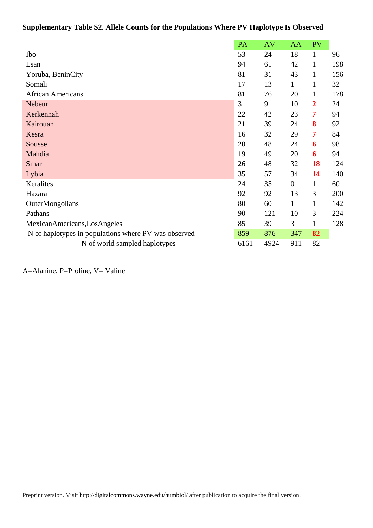# **Supplementary Table S2. Allele Counts for the Populations Where PV Haplotype Is Observed**

|                                                      | PA   | <b>AV</b> | AA               | PV             |     |
|------------------------------------------------------|------|-----------|------------------|----------------|-----|
| Ibo                                                  | 53   | 24        | 18               | $\mathbf{1}$   | 96  |
| Esan                                                 | 94   | 61        | 42               | $\mathbf{1}$   | 198 |
| Yoruba, BeninCity                                    | 81   | 31        | 43               | $\mathbf{1}$   | 156 |
| Somali                                               | 17   | 13        | $\mathbf{1}$     | $\mathbf{1}$   | 32  |
| <b>African Americans</b>                             | 81   | 76        | 20               | $\mathbf{1}$   | 178 |
| Nebeur                                               | 3    | 9         | 10               | $\overline{2}$ | 24  |
| Kerkennah                                            | 22   | 42        | 23               | 7              | 94  |
| Kairouan                                             | 21   | 39        | 24               | 8              | 92  |
| Kesra                                                | 16   | 32        | 29               | 7              | 84  |
| Sousse                                               | 20   | 48        | 24               | 6              | 98  |
| Mahdia                                               | 19   | 49        | 20               | 6              | 94  |
| Smar                                                 | 26   | 48        | 32               | 18             | 124 |
| Lybia                                                | 35   | 57        | 34               | 14             | 140 |
| Keralites                                            | 24   | 35        | $\boldsymbol{0}$ | $\mathbf{1}$   | 60  |
| Hazara                                               | 92   | 92        | 13               | 3              | 200 |
| OuterMongolians                                      | 80   | 60        | $\mathbf{1}$     | $\mathbf{1}$   | 142 |
| Pathans                                              | 90   | 121       | 10               | 3              | 224 |
| MexicanAmericans,LosAngeles                          | 85   | 39        | 3                | $\mathbf{1}$   | 128 |
| N of haplotypes in populations where PV was observed | 859  | 876       | 347              | 82             |     |
| N of world sampled haplotypes                        | 6161 | 4924      | 911              | 82             |     |

A=Alanine, P=Proline, V= Valine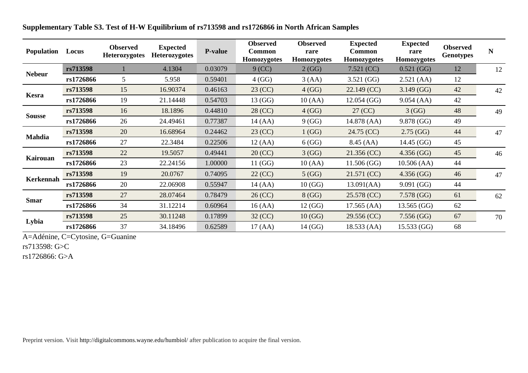| <b>Population</b> | Locus     | <b>Observed</b><br><b>Heterozygotes</b> | <b>Expected</b><br><b>Heterozygotes</b> | <b>P-value</b> | <b>Observed</b><br><b>Common</b><br><b>Homozygotes</b> | <b>Observed</b><br>rare<br><b>Homozygotes</b> | <b>Expected</b><br><b>Common</b><br>Homozygotes | <b>Expected</b><br>rare<br><b>Homozygotes</b> | <b>Observed</b><br><b>Genotypes</b> | N  |
|-------------------|-----------|-----------------------------------------|-----------------------------------------|----------------|--------------------------------------------------------|-----------------------------------------------|-------------------------------------------------|-----------------------------------------------|-------------------------------------|----|
|                   | rs713598  |                                         | 4.1304                                  | 0.03079        | $9$ (CC)                                               | 2(GG)                                         | 7.521 (CC)                                      | 0.521(GG)                                     | 12                                  | 12 |
| <b>Nebeur</b>     | rs1726866 | 5                                       | 5.958                                   | 0.59401        | 4(GG)                                                  | 3(AA)                                         | 3.521(GG)                                       | 2.521(AA)                                     | 12                                  |    |
|                   | rs713598  | 15                                      | 16.90374                                | 0.46163        | 23 (CC)                                                | 4(GG)                                         | $22.149$ (CC)                                   | 3.149(GG)                                     | 42                                  | 42 |
| Kesra             | rs1726866 | 19                                      | 21.14448                                | 0.54703        | 13(GG)                                                 | 10(AA)                                        | $12.054$ (GG)                                   | 9.054(AA)                                     | 42                                  |    |
| <b>Sousse</b>     | rs713598  | 16                                      | 18.1896                                 | 0.44810        | 28 (CC)                                                | 4(GG)                                         | 27 (CC)                                         | 3(GG)                                         | 48                                  | 49 |
|                   | rs1726866 | 26                                      | 24.49461                                | 0.77387        | 14(AA)                                                 | 9(GG)                                         | 14.878 (AA)                                     | 9.878 (GG)                                    | 49                                  |    |
| Mahdia            | rs713598  | 20                                      | 16.68964                                | 0.24462        | 23 (CC)                                                | 1(GG)                                         | 24.75 (CC)                                      | 2.75(GG)                                      | 44                                  | 47 |
|                   | rs1726866 | 27                                      | 22.3484                                 | 0.22506        | 12(AA)                                                 | 6(GG)                                         | 8.45(AA)                                        | 14.45(GG)                                     | 45                                  |    |
|                   | rs713598  | 22                                      | 19.5057                                 | 0.49441        | 20 (CC)                                                | 3(GG)                                         | 21.356 (CC)                                     | 4.356(GG)                                     | 45                                  | 46 |
| <b>Kairouan</b>   | rs1726866 | 23                                      | 22.24156                                | 1.00000        | 11(GG)                                                 | 10(AA)                                        | 11.506(GG)                                      | 10.506 (AA)                                   | 44                                  |    |
|                   | rs713598  | 19                                      | 20.0767                                 | 0.74095        | $22$ (CC)                                              | 5(GG)                                         | 21.571 (CC)                                     | 4.356(GG)                                     | 46                                  | 47 |
| <b>Kerkennah</b>  | rs1726866 | 20                                      | 22.06908                                | 0.55947        | 14(AA)                                                 | 10(GG)                                        | 13.091(AA)                                      | 9.091(GG)                                     | 44                                  |    |
|                   | rs713598  | 27                                      | 28.07464                                | 0.78479        | 26 (CC)                                                | 8(GG)                                         | 25.578 (CC)                                     | 7.578(GG)                                     | 61                                  | 62 |
| <b>Smar</b>       | rs1726866 | 34                                      | 31.12214                                | 0.60964        | 16(AA)                                                 | 12 (GG)                                       | 17.565(AA)                                      | $13.565$ (GG)                                 | 62                                  |    |
|                   | rs713598  | 25                                      | 30.11248                                | 0.17899        | $32$ (CC)                                              | 10(GG)                                        | 29.556 (CC)                                     | 7.556(GG)                                     | 67                                  | 70 |
| Lybia             | rs1726866 | 37                                      | 34.18496                                | 0.62589        | 17(AA)                                                 | 14 (GG)                                       | 18.533(AA)                                      | 15.533(GG)                                    | 68                                  |    |

**Supplementary Table S3. Test of H-W Equilibrium of rs713598 and rs1726866 in North African Samples**

A=Adénine, C=Cytosine, G=Guanine

rs713598: G>C

rs1726866: G>A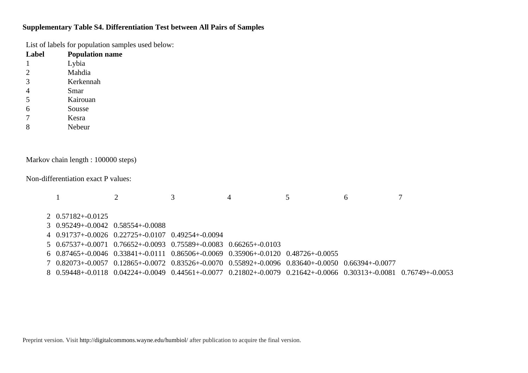# **Supplementary Table S4. Differentiation Test between All Pairs of Samples**

List of labels for population samples used below:

| Label          | <b>Population name</b>                                                     |                                                                                                                   |                    |                                         |   |   |   |
|----------------|----------------------------------------------------------------------------|-------------------------------------------------------------------------------------------------------------------|--------------------|-----------------------------------------|---|---|---|
|                | Lybia                                                                      |                                                                                                                   |                    |                                         |   |   |   |
| $\overline{c}$ | Mahdia                                                                     |                                                                                                                   |                    |                                         |   |   |   |
| 3              | Kerkennah                                                                  |                                                                                                                   |                    |                                         |   |   |   |
| 4              | Smar                                                                       |                                                                                                                   |                    |                                         |   |   |   |
| 5              | Kairouan                                                                   |                                                                                                                   |                    |                                         |   |   |   |
| 6              | Sousse                                                                     |                                                                                                                   |                    |                                         |   |   |   |
| 7              | Kesra                                                                      |                                                                                                                   |                    |                                         |   |   |   |
| 8              | Nebeur                                                                     |                                                                                                                   |                    |                                         |   |   |   |
|                |                                                                            |                                                                                                                   |                    |                                         |   |   |   |
|                | Markov chain length : 100000 steps)<br>Non-differentiation exact P values: |                                                                                                                   |                    |                                         |   |   |   |
|                |                                                                            | $\overline{2}$                                                                                                    | 3                  | 4                                       | 5 | 6 | 7 |
| 2              | $0.57182 + 0.0125$                                                         |                                                                                                                   |                    |                                         |   |   |   |
| 3              | $0.95249 + 0.0042$ $0.58554 + 0.0088$                                      |                                                                                                                   |                    |                                         |   |   |   |
| 4              |                                                                            | $0.91737 + 0.0026$ $0.22725 + 0.0107$                                                                             | $0.49254 + 0.0094$ |                                         |   |   |   |
| 5.             |                                                                            | $0.67537 + 0.0071$ $0.76652 + 0.0093$                                                                             |                    | $0.75589 + -0.0083$ $0.66265 + -0.0103$ |   |   |   |
| 6              |                                                                            | $0.87465 + 0.0046$ $0.33841 + 0.0111$ $0.86506 + 0.0069$ $0.35906 + 0.0120$ $0.48726 + 0.0055$                    |                    |                                         |   |   |   |
| 7              |                                                                            | $0.82073 + 0.0057$ $0.12865 + 0.0072$ $0.83526 + 0.0070$ $0.55892 + 0.0096$ $0.83640 + 0.0050$ $0.66394 + 0.0077$ |                    |                                         |   |   |   |
|                |                                                                            |                                                                                                                   |                    |                                         |   |   |   |

8 0.59448+-0.0118 0.04224+-0.0049 0.44561+-0.0077 0.21802+-0.0079 0.21642+-0.0066 0.30313+-0.0081 0.76749+-0.0053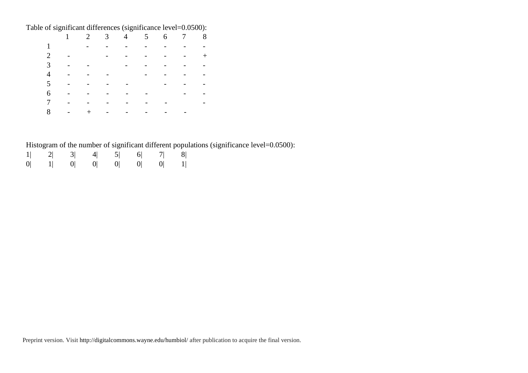Table of significant differences (significance level=0.0500):

|                                                                                                                                                                                                                                                |                                                                                                                                                                                                                               |  | 2 3 4 5 6 7 8 |  |  |
|------------------------------------------------------------------------------------------------------------------------------------------------------------------------------------------------------------------------------------------------|-------------------------------------------------------------------------------------------------------------------------------------------------------------------------------------------------------------------------------|--|---------------|--|--|
|                                                                                                                                                                                                                                                | $\mathcal{L}(\mathcal{L})$ . The set of the set of the set of the set of the set of the $\mathcal{L}(\mathcal{L})$                                                                                                            |  |               |  |  |
| 2 - - - - - - - - +                                                                                                                                                                                                                            |                                                                                                                                                                                                                               |  |               |  |  |
|                                                                                                                                                                                                                                                | $\mathcal{A}(\mathbf{x})$ . The contribution of the contribution of the contribution of $\mathcal{A}(\mathbf{x})$                                                                                                             |  |               |  |  |
| $\mathcal{O}(\mathcal{O}(10^6) \times 10^6)$ . The contribution of the contribution of the contribution of the contribution of the contribution of the contribution of the contribution of the contribution of the contribution of the contrib |                                                                                                                                                                                                                               |  |               |  |  |
|                                                                                                                                                                                                                                                |                                                                                                                                                                                                                               |  |               |  |  |
| $6 \t- \t- \t- \t- \t- \t- \t- \t- \t-$                                                                                                                                                                                                        |                                                                                                                                                                                                                               |  |               |  |  |
| 7                                                                                                                                                                                                                                              |                                                                                                                                                                                                                               |  |               |  |  |
|                                                                                                                                                                                                                                                | , where the contribution of the contribution of the contribution of the contribution of the contribution of the contribution of the contribution of the contribution of the contribution of the contribution of the contribut |  |               |  |  |

Histogram of the number of significant different populations (significance level=0.0500):

|  |  | $1 $ 2  3  4  5  6  7  8       |  |
|--|--|--------------------------------|--|
|  |  | $0 $ 1   0   0   0   0   0   1 |  |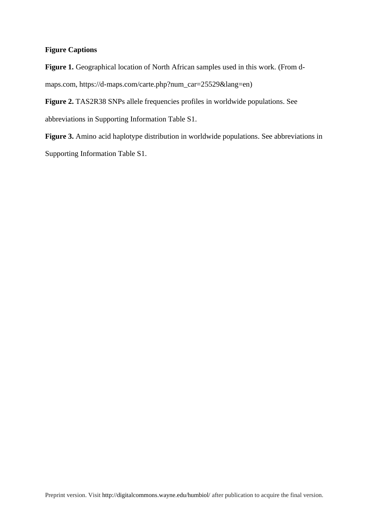# **Figure Captions**

Figure 1. Geographical location of North African samples used in this work. (From dmaps.com, https://d-maps.com/carte.php?num\_car=25529&lang=en)

**Figure 2.** TAS2R38 SNPs allele frequencies profiles in worldwide populations. See abbreviations in Supporting Information Table S1.

Figure 3. Amino acid haplotype distribution in worldwide populations. See abbreviations in Supporting Information Table S1.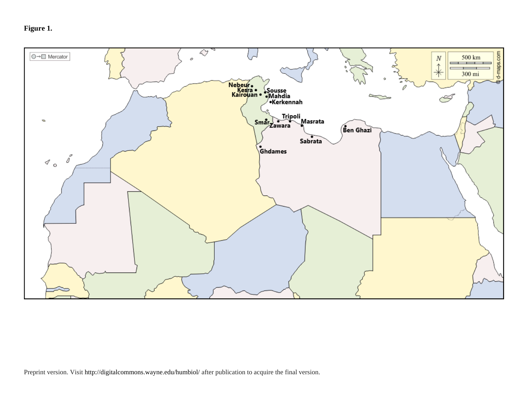**Figure 1.**

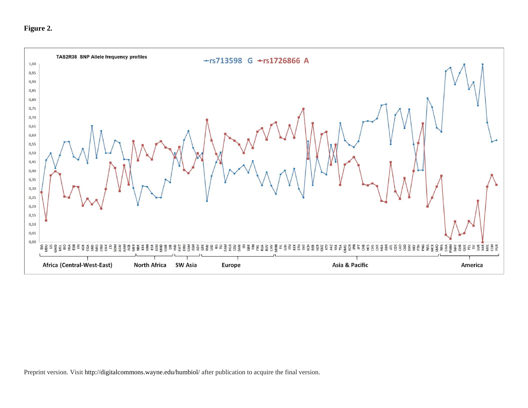